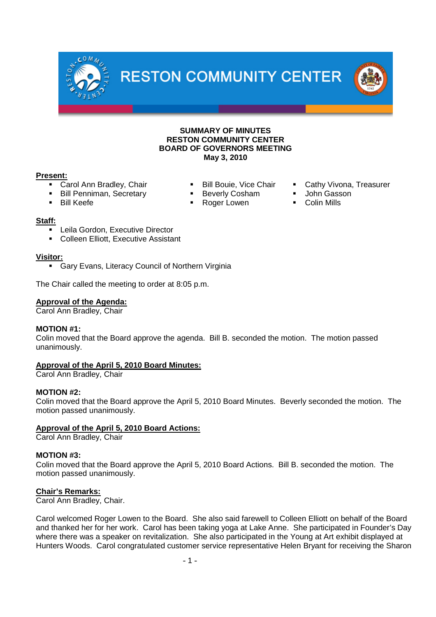



### **Present:**

- 
- 
- Bill Penniman, Secretary **Beverly Cosham** John Gasson
- Bill Keefe **Bill Keefe Roger Lowen** Roger Lowen Colin Mills
- Carol Ann Bradley, Chair **Bill Bouie, Vice Chair Cathy Vivona, Treasurer** Carol Ann Bradley, Chair
	-
	-

### **Staff:**

- Leila Gordon, Executive Director
- Colleen Elliott, Executive Assistant

### **Visitor:**

**Gary Evans, Literacy Council of Northern Virginia** 

The Chair called the meeting to order at 8:05 p.m.

### **Approval of the Agenda:**

Carol Ann Bradley, Chair

### **MOTION #1:**

Colin moved that the Board approve the agenda. Bill B. seconded the motion. The motion passed unanimously.

**Approval of the April 5, 2010 Board Minutes:**

Carol Ann Bradley, Chair

### **MOTION #2:**

Colin moved that the Board approve the April 5, 2010 Board Minutes. Beverly seconded the motion. The motion passed unanimously.

### **Approval of the April 5, 2010 Board Actions:**

Carol Ann Bradley, Chair

### **MOTION #3:**

Colin moved that the Board approve the April 5, 2010 Board Actions. Bill B. seconded the motion. The motion passed unanimously.

### **Chair's Remarks:**

Carol Ann Bradley, Chair.

Carol welcomed Roger Lowen to the Board. She also said farewell to Colleen Elliott on behalf of the Board and thanked her for her work. Carol has been taking yoga at Lake Anne. She participated in Founder's Day where there was a speaker on revitalization. She also participated in the Young at Art exhibit displayed at Hunters Woods. Carol congratulated customer service representative Helen Bryant for receiving the Sharon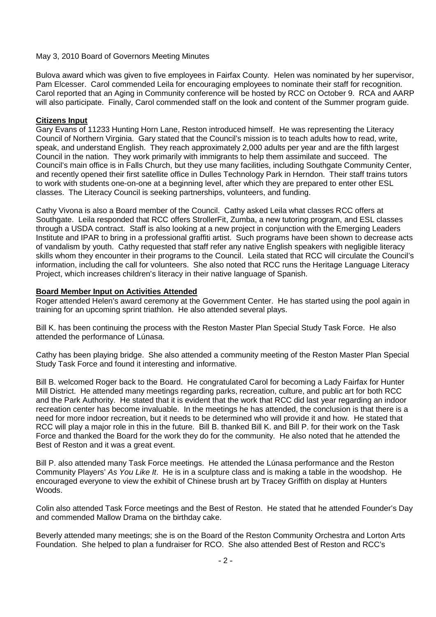Bulova award which was given to five employees in Fairfax County. Helen was nominated by her supervisor, Pam Elcesser. Carol commended Leila for encouraging employees to nominate their staff for recognition. Carol reported that an Aging in Community conference will be hosted by RCC on October 9. RCA and AARP will also participate. Finally, Carol commended staff on the look and content of the Summer program guide.

### **Citizens Input**

Gary Evans of 11233 Hunting Horn Lane, Reston introduced himself. He was representing the Literacy Council of Northern Virginia. Gary stated that the Council's mission is to teach adults how to read, write, speak, and understand English. They reach approximately 2,000 adults per year and are the fifth largest Council in the nation. They work primarily with immigrants to help them assimilate and succeed. The Council's main office is in Falls Church, but they use many facilities, including Southgate Community Center, and recently opened their first satellite office in Dulles Technology Park in Herndon. Their staff trains tutors to work with students one-on-one at a beginning level, after which they are prepared to enter other ESL classes. The Literacy Council is seeking partnerships, volunteers, and funding.

Cathy Vivona is also a Board member of the Council. Cathy asked Leila what classes RCC offers at Southgate. Leila responded that RCC offers StrollerFit, Zumba, a new tutoring program, and ESL classes through a USDA contract. Staff is also looking at a new project in conjunction with the Emerging Leaders Institute and IPAR to bring in a professional graffiti artist. Such programs have been shown to decrease acts of vandalism by youth. Cathy requested that staff refer any native English speakers with negligible literacy skills whom they encounter in their programs to the Council. Leila stated that RCC will circulate the Council's information, including the call for volunteers. She also noted that RCC runs the Heritage Language Literacy Project, which increases children's literacy in their native language of Spanish.

### **Board Member Input on Activities Attended**

Roger attended Helen's award ceremony at the Government Center. He has started using the pool again in training for an upcoming sprint triathlon. He also attended several plays.

Bill K. has been continuing the process with the Reston Master Plan Special Study Task Force. He also attended the performance of Lúnasa.

Cathy has been playing bridge. She also attended a community meeting of the Reston Master Plan Special Study Task Force and found it interesting and informative.

Bill B. welcomed Roger back to the Board. He congratulated Carol for becoming a Lady Fairfax for Hunter Mill District. He attended many meetings regarding parks, recreation, culture, and public art for both RCC and the Park Authority. He stated that it is evident that the work that RCC did last year regarding an indoor recreation center has become invaluable. In the meetings he has attended, the conclusion is that there is a need for more indoor recreation, but it needs to be determined who will provide it and how. He stated that RCC will play a major role in this in the future. Bill B. thanked Bill K. and Bill P. for their work on the Task Force and thanked the Board for the work they do for the community. He also noted that he attended the Best of Reston and it was a great event.

Bill P. also attended many Task Force meetings. He attended the Lúnasa performance and the Reston Community Players' *As You Like It*. He is in a sculpture class and is making a table in the woodshop. He encouraged everyone to view the exhibit of Chinese brush art by Tracey Griffith on display at Hunters Woods.

Colin also attended Task Force meetings and the Best of Reston. He stated that he attended Founder's Day and commended Mallow Drama on the birthday cake.

Beverly attended many meetings; she is on the Board of the Reston Community Orchestra and Lorton Arts Foundation. She helped to plan a fundraiser for RCO. She also attended Best of Reston and RCC's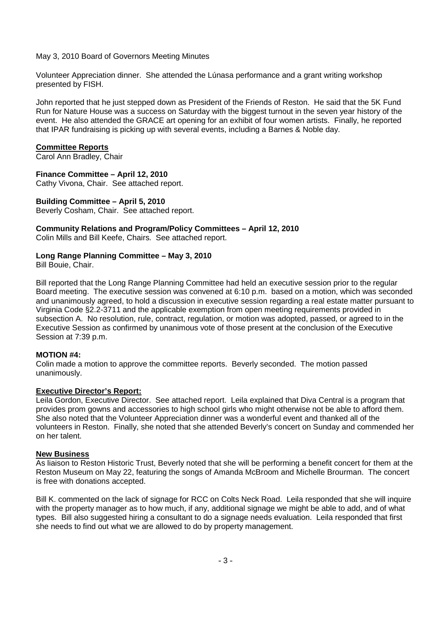Volunteer Appreciation dinner. She attended the Lúnasa performance and a grant writing workshop presented by FISH.

John reported that he just stepped down as President of the Friends of Reston. He said that the 5K Fund Run for Nature House was a success on Saturday with the biggest turnout in the seven year history of the event. He also attended the GRACE art opening for an exhibit of four women artists. Finally, he reported that IPAR fundraising is picking up with several events, including a Barnes & Noble day.

#### **Committee Reports**

Carol Ann Bradley, Chair

### **Finance Committee – April 12, 2010**

Cathy Vivona, Chair. See attached report.

#### **Building Committee – April 5, 2010**

Beverly Cosham, Chair. See attached report.

#### **Community Relations and Program/Policy Committees – April 12, 2010**

Colin Mills and Bill Keefe, Chairs. See attached report.

### **Long Range Planning Committee – May 3, 2010**

Bill Bouie, Chair.

Bill reported that the Long Range Planning Committee had held an executive session prior to the regular Board meeting. The executive session was convened at 6:10 p.m. based on a motion, which was seconded and unanimously agreed, to hold a discussion in executive session regarding a real estate matter pursuant to Virginia Code §2.2-3711 and the applicable exemption from open meeting requirements provided in subsection A. No resolution, rule, contract, regulation, or motion was adopted, passed, or agreed to in the Executive Session as confirmed by unanimous vote of those present at the conclusion of the Executive Session at 7:39 p.m.

### **MOTION #4:**

Colin made a motion to approve the committee reports. Beverly seconded. The motion passed unanimously.

#### **Executive Director's Report:**

Leila Gordon, Executive Director. See attached report. Leila explained that Diva Central is a program that provides prom gowns and accessories to high school girls who might otherwise not be able to afford them. She also noted that the Volunteer Appreciation dinner was a wonderful event and thanked all of the volunteers in Reston. Finally, she noted that she attended Beverly's concert on Sunday and commended her on her talent.

#### **New Business**

As liaison to Reston Historic Trust, Beverly noted that she will be performing a benefit concert for them at the Reston Museum on May 22, featuring the songs of Amanda McBroom and Michelle Brourman. The concert is free with donations accepted.

Bill K. commented on the lack of signage for RCC on Colts Neck Road. Leila responded that she will inquire with the property manager as to how much, if any, additional signage we might be able to add, and of what types. Bill also suggested hiring a consultant to do a signage needs evaluation. Leila responded that first she needs to find out what we are allowed to do by property management.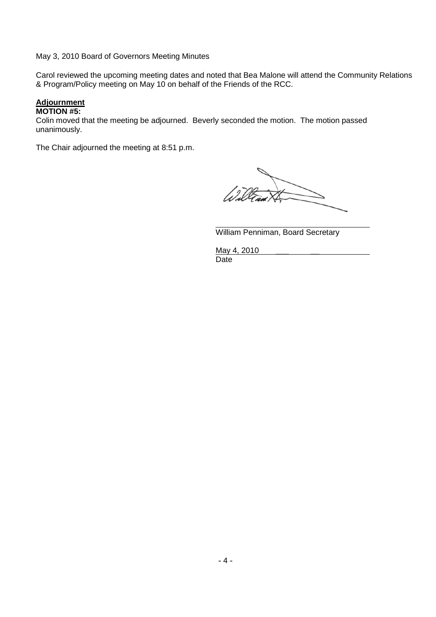Carol reviewed the upcoming meeting dates and noted that Bea Malone will attend the Community Relations & Program/Policy meeting on May 10 on behalf of the Friends of the RCC.

### **Adjournment**

#### **MOTION #5:**

Colin moved that the meeting be adjourned. Beverly seconded the motion. The motion passed unanimously.

The Chair adjourned the meeting at 8:51 p.m.

0

William Penniman, Board Secretary

May 4, 2010 Date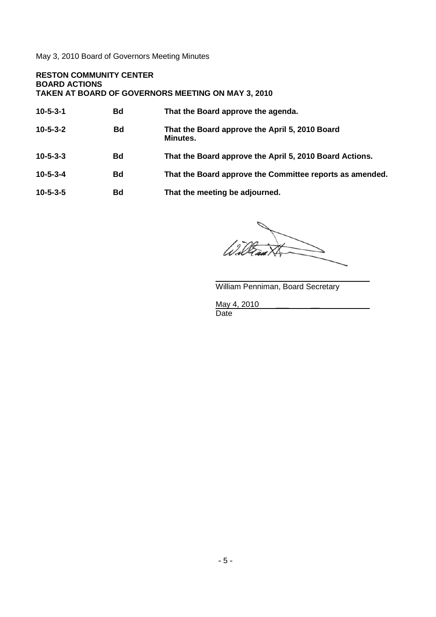### **RESTON COMMUNITY CENTER BOARD ACTIONS TAKEN AT BOARD OF GOVERNORS MEETING ON MAY 3, 2010**

| $10 - 5 - 3 - 1$ | <b>Bd</b> | That the Board approve the agenda.                         |
|------------------|-----------|------------------------------------------------------------|
| $10 - 5 - 3 - 2$ | <b>Bd</b> | That the Board approve the April 5, 2010 Board<br>Minutes. |
| $10 - 5 - 3 - 3$ | <b>Bd</b> | That the Board approve the April 5, 2010 Board Actions.    |
| $10 - 5 - 3 - 4$ | <b>Bd</b> | That the Board approve the Committee reports as amended.   |
| $10 - 5 - 3 - 5$ | <b>Bd</b> | That the meeting be adjourned.                             |
|                  |           |                                                            |

Wid

William Penniman, Board Secretary

May 4, 2010

Date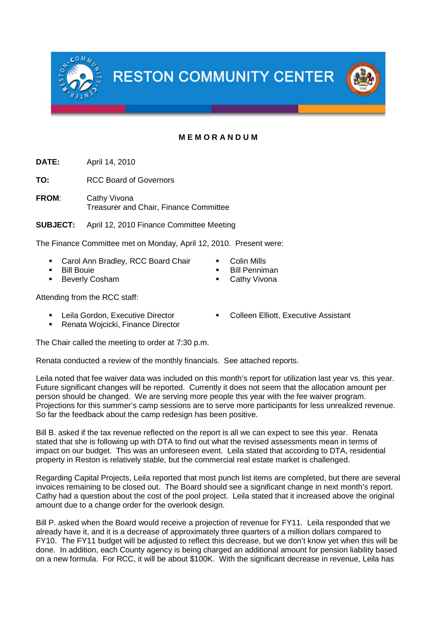**RESTON COMMUNITY CENTER** 

## **M E M O R A N D U M**

**DATE:** April 14, 2010

**TO:** RCC Board of Governors

**FROM**: Cathy Vivona Treasurer and Chair, Finance Committee

**SUBJECT:** April 12, 2010 Finance Committee Meeting

The Finance Committee met on Monday, April 12, 2010. Present were:

- Carol Ann Bradley, RCC Board Chair **Colin Mills**
- Bill Bouie Bill Penniman
- Beverly Cosham 
Cathy Vivona
- Attending from the RCC staff:
	-
	- **Renata Wojcicki, Finance Director**

The Chair called the meeting to order at 7:30 p.m.

Renata conducted a review of the monthly financials. See attached reports.

Leila noted that fee waiver data was included on this month's report for utilization last year vs. this year. Future significant changes will be reported. Currently it does not seem that the allocation amount per person should be changed. We are serving more people this year with the fee waiver program. Projections for this summer's camp sessions are to serve more participants for less unrealized revenue. So far the feedback about the camp redesign has been positive.

Bill B. asked if the tax revenue reflected on the report is all we can expect to see this year. Renata stated that she is following up with DTA to find out what the revised assessments mean in terms of impact on our budget. This was an unforeseen event. Leila stated that according to DTA, residential property in Reston is relatively stable, but the commercial real estate market is challenged.

Regarding Capital Projects, Leila reported that most punch list items are completed, but there are several invoices remaining to be closed out. The Board should see a significant change in next month's report. Cathy had a question about the cost of the pool project. Leila stated that it increased above the original amount due to a change order for the overlook design.

Bill P. asked when the Board would receive a projection of revenue for FY11. Leila responded that we already have it, and it is a decrease of approximately three quarters of a million dollars compared to FY10. The FY11 budget will be adjusted to reflect this decrease, but we don't know yet when this will be done. In addition, each County agency is being charged an additional amount for pension liability based on a new formula. For RCC, it will be about \$100K. With the significant decrease in revenue, Leila has

Leila Gordon, Executive Director **The Colleen Elliott, Executive Assistant** 



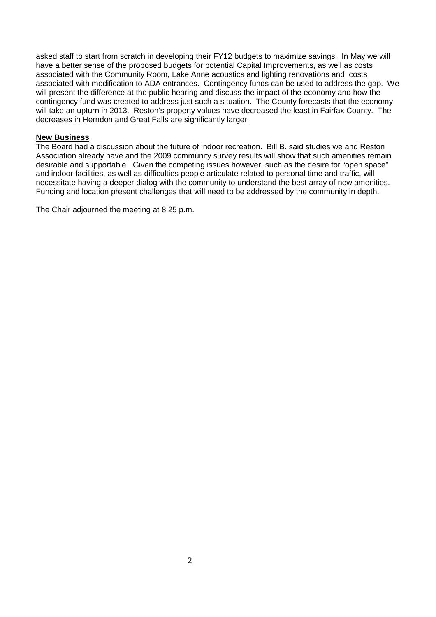asked staff to start from scratch in developing their FY12 budgets to maximize savings. In May we will have a better sense of the proposed budgets for potential Capital Improvements, as well as costs associated with the Community Room, Lake Anne acoustics and lighting renovations and costs associated with modification to ADA entrances. Contingency funds can be used to address the gap. We will present the difference at the public hearing and discuss the impact of the economy and how the contingency fund was created to address just such a situation. The County forecasts that the economy will take an upturn in 2013. Reston's property values have decreased the least in Fairfax County. The decreases in Herndon and Great Falls are significantly larger.

### **New Business**

The Board had a discussion about the future of indoor recreation. Bill B. said studies we and Reston Association already have and the 2009 community survey results will show that such amenities remain desirable and supportable. Given the competing issues however, such as the desire for "open space" and indoor facilities, as well as difficulties people articulate related to personal time and traffic, will necessitate having a deeper dialog with the community to understand the best array of new amenities. Funding and location present challenges that will need to be addressed by the community in depth.

The Chair adjourned the meeting at 8:25 p.m.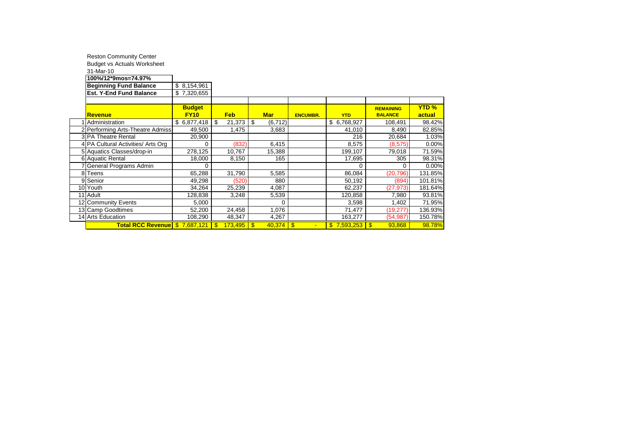|   | <b>Reston Community Center</b>     |               |              |                         |                              |                                |                  |              |
|---|------------------------------------|---------------|--------------|-------------------------|------------------------------|--------------------------------|------------------|--------------|
|   | <b>Budget vs Actuals Worksheet</b> |               |              |                         |                              |                                |                  |              |
|   | 31-Mar-10                          |               |              |                         |                              |                                |                  |              |
|   | 100%/12*9mos=74.97%                |               |              |                         |                              |                                |                  |              |
|   | <b>Beginning Fund Balance</b>      | \$8,154,961   |              |                         |                              |                                |                  |              |
|   | <b>Est. Y-End Fund Balance</b>     | \$7,320,655   |              |                         |                              |                                |                  |              |
|   |                                    |               |              |                         |                              |                                |                  |              |
|   |                                    | <b>Budget</b> |              |                         |                              |                                | <b>REMAINING</b> | <b>YTD %</b> |
|   | <b>Revenue</b>                     | <b>FY10</b>   | <b>Feb</b>   | <b>Mar</b>              | <b>ENCUMBR.</b>              | <b>YTD</b>                     | <b>BALANCE</b>   | actual       |
|   | 1 Administration                   | \$6,877,418   | \$<br>21,373 | \$<br>(6, 712)          |                              | \$6,768,927                    | 108,491          | 98.42%       |
|   | 2 Performing Arts-Theatre Admiss.  | 49,500        | 1,475        | 3,683                   |                              | 41,010                         | 8,490            | 82.85%       |
|   | 3 PA Theatre Rental                | 20,900        |              |                         |                              | 216                            | 20,684           | 1.03%        |
|   | 4 PA Cultural Activities/ Arts Org | 0             | (832)        | 6,415                   |                              | 8,575                          | (8,575)          | 0.00%        |
|   | 5 Aquatics Classes/drop-in         | 278,125       | 10,767       | 15,388                  |                              | 199,107                        | 79,018           | 71.59%       |
|   | 6 Aquatic Rental                   | 18,000        | 8,150        | 165                     |                              | 17,695                         | 305              | 98.31%       |
|   | 7 General Programs Admin           | 0             |              |                         |                              | 0                              | 0                | 0.00%        |
| 8 | Teens                              | 65,288        | 31,790       | 5,585                   |                              | 86,084                         | (20, 796)        | 131.85%      |
|   | 9 Senior                           | 49,298        | (520)        | 880                     |                              | 50,192                         | (894)            | 101.81%      |
|   | 10 Youth                           | 34,264        | 25,239       | 4,087                   |                              | 62,237                         | (27, 973)        | 181.64%      |
|   | 11 Adult                           | 128,838       | 3,248        | 5,539                   |                              | 120,858                        | 7,980            | 93.81%       |
|   | 12 Community Events                | 5,000         |              | 0                       |                              | 3,598                          | 1,402            | 71.95%       |
|   | 13 Camp Goodtimes                  | 52,200        | 24,458       | 1,076                   |                              | 71,477                         | (19, 277)        | 136.93%      |
|   | 14 Arts Education                  | 108,290       | 48,347       | 4,267                   |                              | 163,277                        | (54, 987)        | 150.78%      |
|   | Total RCC Revenue \$7,687,121      |               | 173,495      | $\mathbf{\$}$<br>40,374 | $\sqrt{3}$<br>$\blacksquare$ | $\frac{12}{15}$ 7,593,253   \$ | 93,868           | 98.78%       |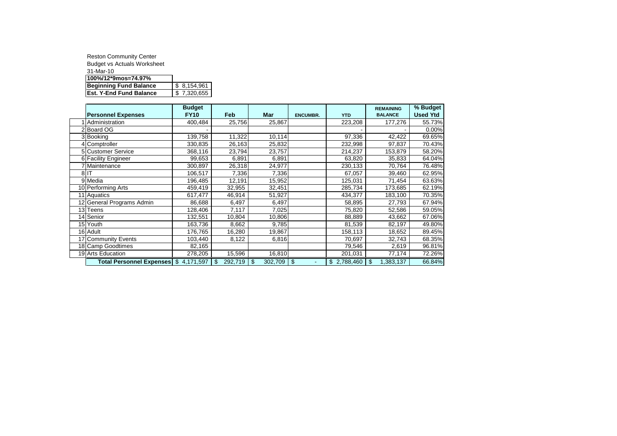| <b>Reston Community Center</b>     |             |
|------------------------------------|-------------|
| <b>Budget vs Actuals Worksheet</b> |             |
| 31-Mar-10                          |             |
| 100%/12*9mos=74.97%                |             |
| <b>Beginning Fund Balance</b>      | \$8,154,961 |
| <b>Est. Y-End Fund Balance</b>     | \$7,320,655 |

|                                       | <b>Budget</b> |               |                      |                 |             | <b>REMAINING</b>  | % Budget        |
|---------------------------------------|---------------|---------------|----------------------|-----------------|-------------|-------------------|-----------------|
| <b>Personnel Expenses</b>             | <b>FY10</b>   | <b>Feb</b>    | Mar                  | <b>ENCUMBR.</b> | <b>YTD</b>  | <b>BALANCE</b>    | <b>Used Ytd</b> |
| Administration                        | 400,484       | 25,756        | 25,867               |                 | 223,208     | 177,276           | 55.73%          |
| 2 Board OG                            |               |               |                      |                 |             |                   | 0.00%           |
| 3 Booking                             | 139,758       | 11,322        | 10,114               |                 | 97,336      | 42,422            | 69.65%          |
| 4 Comptroller                         | 330,835       | 26,163        | 25,832               |                 | 232,998     | 97,837            | 70.43%          |
| <b>5</b> Customer Service             | 368,116       | 23,794        | 23,757               |                 | 214,237     | 153,879           | 58.20%          |
| 6 Facility Engineer                   | 99,653        | 6,891         | 6,891                |                 | 63,820      | 35,833            | 64.04%          |
| 7 Maintenance                         | 300,897       | 26,318        | 24,977               |                 | 230,133     | 70,764            | 76.48%          |
| 8 <sup>IT</sup>                       | 106,517       | 7,336         | 7,336                |                 | 67,057      | 39,460            | 62.95%          |
| 9 Media                               | 196,485       | 12,191        | 15,952               |                 | 125,031     | 71,454            | 63.63%          |
| 10 Performing Arts                    | 459,419       | 32,955        | 32,451               |                 | 285,734     | 173,685           | 62.19%          |
| 11 Aquatics                           | 617,477       | 46,914        | 51,927               |                 | 434,377     | 183,100           | 70.35%          |
| 12 General Programs Admin             | 86,688        | 6,497         | 6,497                |                 | 58,895      | 27,793            | 67.94%          |
| 13 Teens                              | 128,406       | 7,117         | 7,025                |                 | 75,820      | 52,586            | 59.05%          |
| 14 Senior                             | 132,551       | 10,804        | 10,806               |                 | 88,889      | 43,662            | 67.06%          |
| 15 Youth                              | 163,736       | 8,662         | 9,785                |                 | 81,539      | 82,197            | 49.80%          |
| 16 Adult                              | 176,765       | 16,280        | 19,867               |                 | 158,113     | 18,652            | 89.45%          |
| 17 Community Events                   | 103,440       | 8,122         | 6,816                |                 | 70,697      | 32,743            | 68.35%          |
| 18 Camp Goodtimes                     | 82,165        |               |                      |                 | 79,546      | 2,619             | 96.81%          |
| 19 Arts Education                     | 278,205       | 15,596        | 16,810               |                 | 201,031     | 77,174            | 72.26%          |
| Total Personnel Expenses \$ 4,171,597 |               | 292,719<br>\$ | $302,709$ \$<br>- \$ | $\sim$          | \$2,788,460 | l \$<br>1,383,137 | 66.84%          |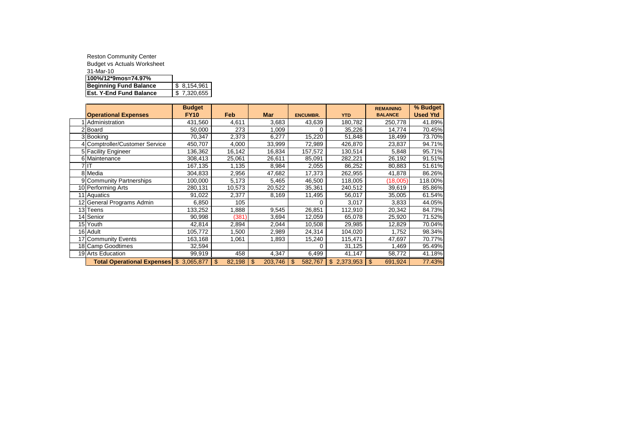| <b>Reston Community Center</b>     |             |
|------------------------------------|-------------|
| <b>Budget vs Actuals Worksheet</b> |             |
| 31-Mar-10                          |             |
| 100%/12*9mos=74.97%                |             |
| <b>Beginning Fund Balance</b>      | \$8,154,961 |
| <b>Est. Y-End Fund Balance</b>     | \$7,320,655 |

|                                         | <b>Budget</b> |              |                           |                           |             | <b>REMAINING</b>          | % Budget        |
|-----------------------------------------|---------------|--------------|---------------------------|---------------------------|-------------|---------------------------|-----------------|
| <b>Operational Expenses</b>             | <b>FY10</b>   | Feb          | <b>Mar</b>                | <b>ENCUMBR.</b>           | <b>YTD</b>  | <b>BALANCE</b>            | <b>Used Ytd</b> |
| 1 Administration                        | 431,560       | 4,611        | 3,683                     | 43,639                    | 180,782     | 250,778                   | 41.89%          |
| 2 Board                                 | 50,000        | 273          | 1,009                     |                           | 35,226      | 14,774                    | 70.45%          |
| 3 Booking                               | 70,347        | 2,373        | 6,277                     | 15,220                    | 51,848      | 18,499                    | 73.70%          |
| 4 Comptroller/Customer Service          | 450,707       | 4,000        | 33,999                    | 72,989                    | 426,870     | 23,837                    | 94.71%          |
| 5 Facility Engineer                     | 136,362       | 16,142       | 16,834                    | 157,572                   | 130,514     | 5,848                     | 95.71%          |
| 6 Maintenance                           | 308,413       | 25,061       | 26,611                    | 85,091                    | 282,221     | 26,192                    | 91.51%          |
| 7 IT                                    | 167,135       | 1,135        | 8,984                     | 2,055                     | 86,252      | 80,883                    | 51.61%          |
| 8 Media                                 | 304,833       | 2,956        | 47,682                    | 17,373                    | 262,955     | 41,878                    | 86.26%          |
| 9 Community Partnerships                | 100,000       | 5,173        | 5,465                     | 46,500                    | 118,005     | (18,005)                  | 118.00%         |
| 10 Performing Arts                      | 280,131       | 10,573       | 20,522                    | 35,361                    | 240,512     | 39,619                    | 85.86%          |
| 11 Aquatics                             | 91,022        | 2,377        | 8,169                     | 11,495                    | 56,017      | 35,005                    | 61.54%          |
| 12 General Programs Admin               | 6,850         | 105          |                           | 0                         | 3,017       | 3,833                     | 44.05%          |
| 13 Teens                                | 133,252       | 1,888        | 9,545                     | 26,851                    | 112,910     | 20,342                    | 84.73%          |
| 14 Senior                               | 90,998        | (381)        | 3,694                     | 12,059                    | 65,078      | 25,920                    | 71.52%          |
| 15 Youth                                | 42,814        | 2,894        | 2,044                     | 10,508                    | 29,985      | 12,829                    | 70.04%          |
| 16 Adult                                | 105,772       | 1,500        | 2,989                     | 24,314                    | 104,020     | 1,752                     | 98.34%          |
| 17 Community Events                     | 163,168       | 1,061        | 1,893                     | 15,240                    | 115,471     | 47,697                    | 70.77%          |
| 18 Camp Goodtimes                       | 32,594        |              |                           | 0                         | 31,125      | .469                      | 95.49%          |
| 19 Arts Education                       | 99,919        | 458          | 4,347                     | 6,499                     | 41,147      | 58,772                    | 41.18%          |
| Total Operational Expenses \$ 3,065,877 |               | \$<br>82,198 | $\mathfrak{S}$<br>203,746 | $\mathfrak{s}$<br>582,767 | \$2,373,953 | $\mathfrak{L}$<br>691,924 | 77.43%          |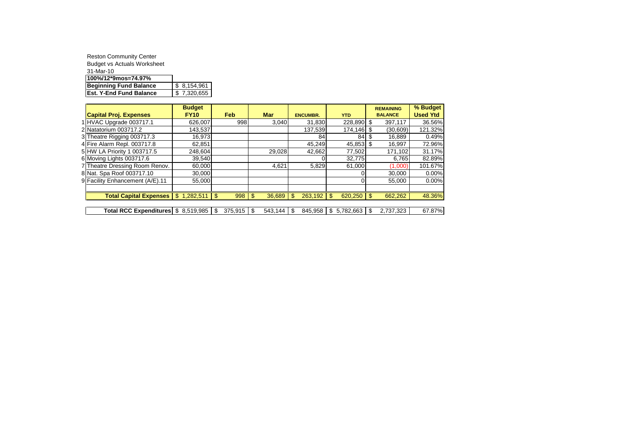| <b>Reston Community Center</b>     |             |
|------------------------------------|-------------|
| <b>Budget vs Actuals Worksheet</b> |             |
| 31-Mar-10                          |             |
| 100%/12*9mos=74.97%                |             |
| <b>Beginning Fund Balance</b>      | \$8,154,961 |
| <b>Est. Y-End Fund Balance</b>     | \$7,320,655 |

|                                 | <b>Budget</b>   |            |              |                 |                |      | <b>REMAINING</b> | % Budget        |
|---------------------------------|-----------------|------------|--------------|-----------------|----------------|------|------------------|-----------------|
| <b>Capital Proj. Expenses</b>   | <b>FY10</b>     | <b>Feb</b> | <b>Mar</b>   | <b>ENCUMBR.</b> | <b>YTD</b>     |      | <b>BALANCE</b>   | <b>Used Ytd</b> |
| 1 HVAC Upgrade 003717.1         | 626,007         | 998        | 3.040        | 31,830          | 228,890 \$     |      | 397,117          | 36.56%          |
| 2 Natatorium 003717.2           | 143,537         |            |              | 137,539         | $174, 146$ \$  |      | (30,609)         | 121.32%         |
| 3 Theatre Rigging 003717.3      | 16,973          |            |              | 84              | 84             | - \$ | 16.889           | 0.49%           |
| 4 Fire Alarm Repl. 003717.8     | 62,851          |            |              | 45,249          | $45,853$ \$    |      | 16,997           | 72.96%          |
| 5 HW LA Priority 1 003717.5     | 248,604         |            | 29,028       | 42.662          | 77,502         |      | 171,102          | 31.17%          |
| 6 Moving Lights 003717.6        | 39,540          |            |              |                 | 32,775         |      | 6,765            | 82.89%          |
| 7 Theatre Dressing Room Renov.  | 60,000          |            | 4,621        | 5,829           | 61,000         |      | (1,000)          | 101.67%         |
| 8 Nat. Spa Roof 003717.10       | 30,000          |            |              |                 |                |      | 30.000           | 0.00%           |
| 9 Facility Enhancement (A/E).11 | 55,000          |            |              |                 |                |      | 55.000           | $0.00\%$        |
|                                 |                 |            |              |                 |                |      |                  |                 |
| <b>Total Capital Expenses</b>   | 1,282,511<br>\$ | 998        | 36,689<br>\$ | 263,192<br>-\$  | 620,250<br>\$. |      | 662,262          | 48.36%          |
|                                 |                 |            |              |                 |                |      |                  |                 |

**Total RCC Expenditures**  $\frac{1}{3}$  8,519,985  $\frac{1}{3}$  375,915  $\frac{1}{3}$  543,144  $\frac{1}{3}$  845,958  $\frac{1}{3}$  5,782,663  $\frac{1}{3}$  2,737,323 67.87%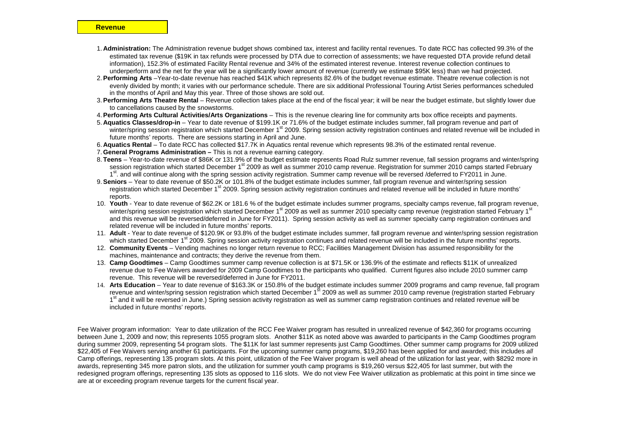- 1. **Administration:** The Administration revenue budget shows combined tax, interest and facility rental revenues. To date RCC has collected 99.3% of the estimated tax revenue (\$19K in tax refunds were processed by DTA due to correction of assessments; we have requested DTA provide refund detail information), 152.3% of estimated Facility Rental revenue and 34% of the estimated interest revenue. Interest revenue collection continues to underperform and the net for the year will be a significantly lower amount of revenue (currently we estimate \$95K less) than we had projected.
- 2.**Performing Arts** –Year-to-date revenue has reached \$41K which represents 82.6% of the budget revenue estimate. Theatre revenue collection is not evenly divided by month; it varies with our performance schedule. There are six additional Professional Touring Artist Series performances scheduled in the months of April and May this year. Three of those shows are sold out.
- 3.**Performing Arts Theatre Rental** Revenue collection takes place at the end of the fiscal year; it will be near the budget estimate, but slightly lower due to cancellations caused by the snowstorms.
- 4.**Performing Arts Cultural Activities/Arts Organizations** This is the revenue clearing line for community arts box office receipts and payments.
- 5. **Aquatics Classes/drop-in** Year to date revenue of \$199.1K or 71.6% of the budget estimate includes summer, fall program revenue and part of winter/spring session registration which started December 1<sup>st</sup> 2009. Spring session activity registration continues and related revenue will be included in future months' reports. There are sessions starting in April and June.
- 6. **Aquatics Rental** To date RCC has collected \$17.7K in Aquatics rental revenue which represents 98.3% of the estimated rental revenue.
- 7. **General Programs Administration –** This is not a revenue earning category.
- 8. **Teens** Year-to-date revenue of \$86K or 131.9% of the budget estimate represents Road Rulz summer revenue, fall session programs and winter/spring session registration which started December 1<sup>st</sup> 2009 as well as summer 2010 camp revenue. Registration for summer 2010 camps started February 1<sup>st</sup>. and will continue along with the spring session activity registration. Summer camp revenue will be reversed /deferred to FY2011 in June.
- 9.**Seniors** Year to date revenue of \$50.2K or 101.8% of the budget estimate includes summer, fall program revenue and winter/spring session registration which started December 1<sup>st</sup> 2009. Spring session activity registration continues and related revenue will be included in future months' reports.
- 10. **Youth** Year to date revenue of \$62.2K or 181.6 % of the budget estimate includes summer programs, specialty camps revenue, fall program revenue, winter/spring session registration which started December 1<sup>st</sup> 2009 as well as summer 2010 specialty camp revenue (registration started February 1<sup>st</sup> and this revenue will be reversed/deferred in June for FY2011). Spring session activity as well as summer specialty camp registration continues and related revenue will be included in future months' reports.
- 11. **Adult** Year to date revenue of \$120.9K or 93.8% of the budget estimate includes summer, fall program revenue and winter/spring session registration which started December 1<sup>st</sup> 2009. Spring session activity registration continues and related revenue will be included in the future months' reports.
- 12. **Community Events** Vending machines no longer return revenue to RCC; Facilities Management Division has assumed responsibility for the machines, maintenance and contracts; they derive the revenue from them.
- 13. **Camp Goodtimes** Camp Goodtimes summer camp revenue collection is at \$71.5K or 136.9% of the estimate and reflects \$11K of unrealized revenue due to Fee Waivers awarded for 2009 Camp Goodtimes to the participants who qualified. Current figures also include 2010 summer camp revenue. This revenue will be reversed/deferred in June for FY2011.
- 14. **Arts Education** Year to date revenue of \$163.3K or 150.8% of the budget estimate includes summer 2009 programs and camp revenue, fall program revenue and winter/spring session registration which started December 1<sup>st</sup> 2009 as well as summer 2010 camp revenue (registration started February 1<sup>st</sup> and it will be reversed in June.) Spring session activity registration as well as summer camp registration continues and related revenue will be included in future months' reports.

Fee Waiver program information: Year to date utilization of the RCC Fee Waiver program has resulted in unrealized revenue of \$42,360 for programs occurring between June 1, 2009 and now; this represents 1055 program slots. Another \$11K as noted above was awarded to participants in the Camp Goodtimes program during summer 2009, representing 54 program slots. The \$11K for last summer represents just Camp Goodtimes. Other summer camp programs for 2009 utilized \$22,405 of Fee Waivers serving another 61 participants. For the upcoming summer camp programs, \$19,260 has been applied for and awarded; this includes *all* Camp offerings, representing 135 program slots. At this point, utilization of the Fee Waiver program is well ahead of the utilization for last year, with \$8292 more in awards, representing 345 more patron slots, and the utilization for summer youth camp programs is \$19,260 versus \$22,405 for last summer, but with the redesigned program offerings, representing 135 slots as opposed to 116 slots. We do not view Fee Waiver utilization as problematic at this point in time since we are at or exceeding program revenue targets for the current fiscal year.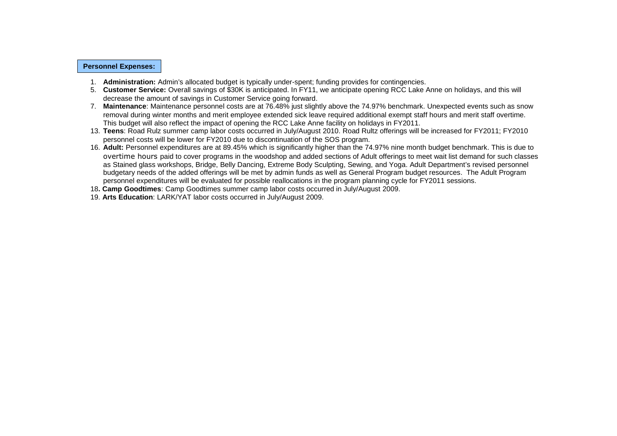#### **Personnel Expenses:**

- 1. **Administration:** Admin's allocated budget is typically under-spent; funding provides for contingencies.
- 5. **Customer Service:** Overall savings of \$30K is anticipated. In FY11, we anticipate opening RCC Lake Anne on holidays, and this will decrease the amount of savings in Customer Service going forward.
- 7. **Maintenance**: Maintenance personnel costs are at 76.48% just slightly above the 74.97% benchmark. Unexpected events such as snow removal during winter months and merit employee extended sick leave required additional exempt staff hours and merit staff overtime. This budget will also reflect the impact of opening the RCC Lake Anne facility on holidays in FY2011.
- 13. **Teens**: Road Rulz summer camp labor costs occurred in July/August 2010. Road Rultz offerings will be increased for FY2011; FY2010 personnel costs will be lower for FY2010 due to discontinuation of the SOS program.
- 16. **Adult:** Personnel expenditures are at 89.45% which is significantly higher than the 74.97% nine month budget benchmark. This is due to overtime hours paid to cover programs in the woodshop and added sections of Adult offerings to meet wait list demand for such classes as Stained glass workshops, Bridge, Belly Dancing, Extreme Body Sculpting, Sewing, and Yoga. Adult Department's revised personnel budgetary needs of the added offerings will be met by admin funds as well as General Program budget resources. The Adult Program personnel expenditures will be evaluated for possible reallocations in the program planning cycle for FY2011 sessions.

18**. Camp Goodtimes**: Camp Goodtimes summer camp labor costs occurred in July/August 2009.

19. **Arts Education**: LARK/YAT labor costs occurred in July/August 2009.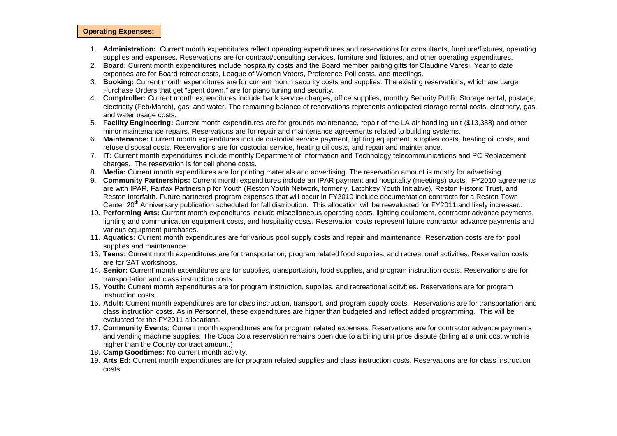#### **Operating Expenses:**

- 1. **Administration:** Current month expenditures reflect operating expenditures and reservations for consultants, furniture/fixtures, operating supplies and expenses. Reservations are for contract/consulting services, furniture and fixtures, and other operating expenditures.
- 2. **Board:** Current month expenditures include hospitality costs and the Board member parting gifts for Claudine Varesi. Year to date expenses are for Board retreat costs, League of Women Voters, Preference Poll costs, and meetings.
- 3. **Booking:** Current month expenditures are for current month security costs and supplies. The existing reservations, which are Large Purchase Orders that get "spent down," are for piano tuning and security.
- 4. **Comptroller:** Current month expenditures include bank service charges, office supplies, monthly Security Public Storage rental, postage, electricity (Feb/March), gas, and water. The remaining balance of reservations represents anticipated storage rental costs, electricity, gas, and water usage costs.
- 5. **Facility Engineering:** Current month expenditures are for grounds maintenance, repair of the LA air handling unit (\$13,388) and other minor maintenance repairs. Reservations are for repair and maintenance agreements related to building systems.
- 6. **Maintenance:** Current month expenditures include custodial service payment, lighting equipment, supplies costs, heating oil costs, and refuse disposal costs. Reservations are for custodial service, heating oil costs, and repair and maintenance.
- 7. **IT:** Current month expenditures include monthly Department of Information and Technology telecommunications and PC Replacement charges. The reservation is for cell phone costs.
- 8. **Media:** Current month expenditures are for printing materials and advertising. The reservation amount is mostly for advertising.
- 9. **Community Partnerships:** Current month expenditures include an IPAR payment and hospitality (meetings) costs. FY2010 agreements are with IPAR, Fairfax Partnership for Youth (Reston Youth Network, formerly, Latchkey Youth Initiative), Reston Historic Trust, and Reston Interfaith. Future partnered program expenses that will occur in FY2010 include documentation contracts for a Reston Town Center 20<sup>th</sup> Anniversary publication scheduled for fall distribution. This allocation will be reevaluated for FY2011 and likely increased.
- 10. **Performing Arts:** Current month expenditures include miscellaneous operating costs, lighting equipment, contractor advance payments, lighting and communication equipment costs, and hospitality costs. Reservation costs represent future contractor advance payments and various equipment purchases.
- 11. **Aquatics:** Current month expenditures are for various pool supply costs and repair and maintenance. Reservation costs are for pool supplies and maintenance.
- 13. **Teens:** Current month expenditures are for transportation, program related food supplies, and recreational activities. Reservation costs are for SAT workshops.
- 14. **Senior:** Current month expenditures are for supplies, transportation, food supplies, and program instruction costs. Reservations are for transportation and class instruction costs.
- 15. **Youth:** Current month expenditures are for program instruction, supplies, and recreational activities. Reservations are for program instruction costs.
- 16. **Adult:** Current month expenditures are for class instruction, transport, and program supply costs. Reservations are for transportation and class instruction costs. As in Personnel, these expenditures are higher than budgeted and reflect added programming. This will be evaluated for the FY2011 allocations.
- 17. **Community Events:** Current month expenditures are for program related expenses. Reservations are for contractor advance payments and vending machine supplies. The Coca Cola reservation remains open due to a billing unit price dispute (billing at a unit cost which is higher than the County contract amount.)
- 18. **Camp Goodtimes:** No current month activity.
- 19. **Arts Ed:** Current month expenditures are for program related supplies and class instruction costs. Reservations are for class instruction costs.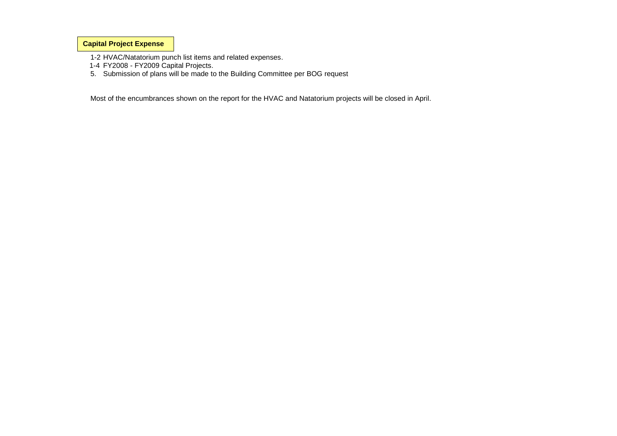**Capital Project Expense**

1-2 HVAC/Natatorium punch list items and related expenses.

- 1-4 FY2008 FY2009 Capital Projects.
- 5. Submission of plans will be made to the Building Committee per BOG request

Most of the encumbrances shown on the report for the HVAC and Natatorium projects will be closed in April.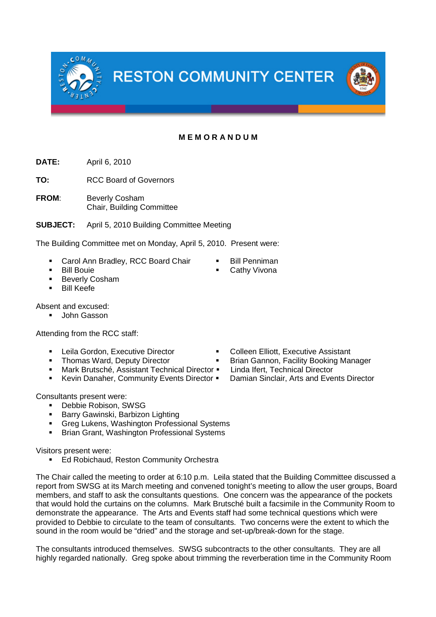**M E M O R A N D U M**

**DATE:** April 6, 2010

**TO:** RCC Board of Governors

**FROM**: Beverly Cosham Chair, Building Committee

**SUBJECT:** April 5, 2010 Building Committee Meeting

The Building Committee met on Monday, April 5, 2010. Present were:

- Carol Ann Bradley, RCC Board Chair Bill Penniman
- 
- **Beverly Cosham**
- Bill Keefe

Absent and excused:

John Gasson

Attending from the RCC staff:

- 
- 
- **Mark Brutsché, Assistant Technical Director Linda Ifert, Technical Director**
- Kevin Danaher, Community Events Director Damian Sinclair, Arts and Events Director

Consultants present were:

- Debbie Robison, SWSG
- **Barry Gawinski, Barbizon Lighting**
- **Greg Lukens, Washington Professional Systems**
- **Brian Grant, Washington Professional Systems**

Visitors present were:

Ed Robichaud, Reston Community Orchestra

The Chair called the meeting to order at 6:10 p.m. Leila stated that the Building Committee discussed a report from SWSG at its March meeting and convened tonight's meeting to allow the user groups, Board members, and staff to ask the consultants questions. One concern was the appearance of the pockets that would hold the curtains on the columns. Mark Brutsché built a facsimile in the Community Room to demonstrate the appearance. The Arts and Events staff had some technical questions which were provided to Debbie to circulate to the team of consultants. Two concerns were the extent to which the sound in the room would be "dried" and the storage and set-up/break-down for the stage.

The consultants introduced themselves. SWSG subcontracts to the other consultants. They are all highly regarded nationally. Greg spoke about trimming the reverberation time in the Community Room

- Leila Gordon, Executive Director Colleen Elliott, Executive Assistant
	- Thomas Ward, Deputy Director **Brian Gannon**, Facility Booking Manager
		-
		-





- 
- **Bill Bouie**  Cathy Vivona
	-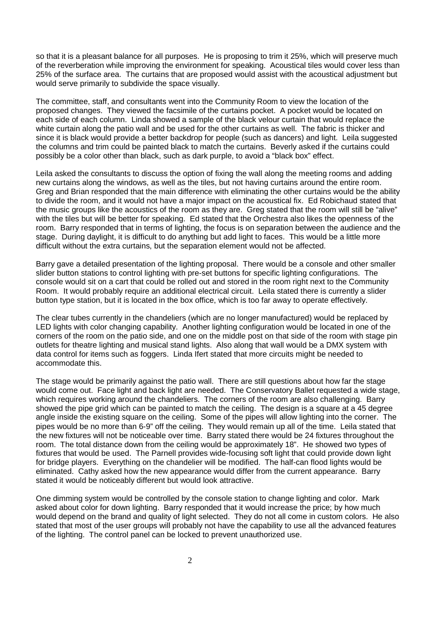so that it is a pleasant balance for all purposes. He is proposing to trim it 25%, which will preserve much of the reverberation while improving the environment for speaking. Acoustical tiles would cover less than 25% of the surface area. The curtains that are proposed would assist with the acoustical adjustment but would serve primarily to subdivide the space visually.

The committee, staff, and consultants went into the Community Room to view the location of the proposed changes. They viewed the facsimile of the curtains pocket. A pocket would be located on each side of each column. Linda showed a sample of the black velour curtain that would replace the white curtain along the patio wall and be used for the other curtains as well. The fabric is thicker and since it is black would provide a better backdrop for people (such as dancers) and light. Leila suggested the columns and trim could be painted black to match the curtains. Beverly asked if the curtains could possibly be a color other than black, such as dark purple, to avoid a "black box" effect.

Leila asked the consultants to discuss the option of fixing the wall along the meeting rooms and adding new curtains along the windows, as well as the tiles, but not having curtains around the entire room. Greg and Brian responded that the main difference with eliminating the other curtains would be the ability to divide the room, and it would not have a major impact on the acoustical fix. Ed Robichaud stated that the music groups like the acoustics of the room as they are. Greg stated that the room will still be "alive" with the tiles but will be better for speaking. Ed stated that the Orchestra also likes the openness of the room. Barry responded that in terms of lighting, the focus is on separation between the audience and the stage. During daylight, it is difficult to do anything but add light to faces. This would be a little more difficult without the extra curtains, but the separation element would not be affected.

Barry gave a detailed presentation of the lighting proposal. There would be a console and other smaller slider button stations to control lighting with pre-set buttons for specific lighting configurations. The console would sit on a cart that could be rolled out and stored in the room right next to the Community Room. It would probably require an additional electrical circuit. Leila stated there is currently a slider button type station, but it is located in the box office, which is too far away to operate effectively.

The clear tubes currently in the chandeliers (which are no longer manufactured) would be replaced by LED lights with color changing capability. Another lighting configuration would be located in one of the corners of the room on the patio side, and one on the middle post on that side of the room with stage pin outlets for theatre lighting and musical stand lights. Also along that wall would be a DMX system with data control for items such as foggers. Linda Ifert stated that more circuits might be needed to accommodate this.

The stage would be primarily against the patio wall. There are still questions about how far the stage would come out. Face light and back light are needed. The Conservatory Ballet requested a wide stage, which requires working around the chandeliers. The corners of the room are also challenging. Barry showed the pipe grid which can be painted to match the ceiling. The design is a square at a 45 degree angle inside the existing square on the ceiling. Some of the pipes will allow lighting into the corner. The pipes would be no more than 6-9" off the ceiling. They would remain up all of the time. Leila stated that the new fixtures will not be noticeable over time. Barry stated there would be 24 fixtures throughout the room. The total distance down from the ceiling would be approximately 18". He showed two types of fixtures that would be used. The Parnell provides wide-focusing soft light that could provide down light for bridge players. Everything on the chandelier will be modified. The half-can flood lights would be eliminated. Cathy asked how the new appearance would differ from the current appearance. Barry stated it would be noticeably different but would look attractive.

One dimming system would be controlled by the console station to change lighting and color. Mark asked about color for down lighting. Barry responded that it would increase the price; by how much would depend on the brand and quality of light selected. They do not all come in custom colors. He also stated that most of the user groups will probably not have the capability to use all the advanced features of the lighting. The control panel can be locked to prevent unauthorized use.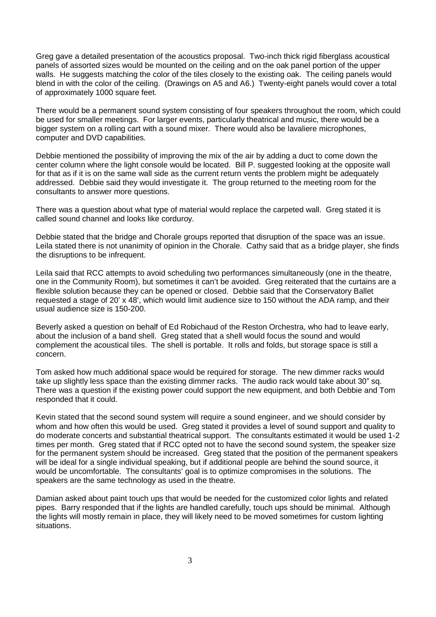Greg gave a detailed presentation of the acoustics proposal. Two-inch thick rigid fiberglass acoustical panels of assorted sizes would be mounted on the ceiling and on the oak panel portion of the upper walls. He suggests matching the color of the tiles closely to the existing oak. The ceiling panels would blend in with the color of the ceiling. (Drawings on A5 and A6.) Twenty-eight panels would cover a total of approximately 1000 square feet.

There would be a permanent sound system consisting of four speakers throughout the room, which could be used for smaller meetings. For larger events, particularly theatrical and music, there would be a bigger system on a rolling cart with a sound mixer. There would also be lavaliere microphones, computer and DVD capabilities.

Debbie mentioned the possibility of improving the mix of the air by adding a duct to come down the center column where the light console would be located. Bill P. suggested looking at the opposite wall for that as if it is on the same wall side as the current return vents the problem might be adequately addressed. Debbie said they would investigate it. The group returned to the meeting room for the consultants to answer more questions.

There was a question about what type of material would replace the carpeted wall. Greg stated it is called sound channel and looks like corduroy.

Debbie stated that the bridge and Chorale groups reported that disruption of the space was an issue. Leila stated there is not unanimity of opinion in the Chorale. Cathy said that as a bridge player, she finds the disruptions to be infrequent.

Leila said that RCC attempts to avoid scheduling two performances simultaneously (one in the theatre, one in the Community Room), but sometimes it can't be avoided. Greg reiterated that the curtains are a flexible solution because they can be opened or closed. Debbie said that the Conservatory Ballet requested a stage of 20' x 48', which would limit audience size to 150 without the ADA ramp, and their usual audience size is 150-200.

Beverly asked a question on behalf of Ed Robichaud of the Reston Orchestra, who had to leave early, about the inclusion of a band shell. Greg stated that a shell would focus the sound and would complement the acoustical tiles. The shell is portable. It rolls and folds, but storage space is still a concern.

Tom asked how much additional space would be required for storage. The new dimmer racks would take up slightly less space than the existing dimmer racks. The audio rack would take about 30" sq. There was a question if the existing power could support the new equipment, and both Debbie and Tom responded that it could.

Kevin stated that the second sound system will require a sound engineer, and we should consider by whom and how often this would be used. Greg stated it provides a level of sound support and quality to do moderate concerts and substantial theatrical support. The consultants estimated it would be used 1-2 times per month. Greg stated that if RCC opted not to have the second sound system, the speaker size for the permanent system should be increased. Greg stated that the position of the permanent speakers will be ideal for a single individual speaking, but if additional people are behind the sound source, it would be uncomfortable. The consultants' goal is to optimize compromises in the solutions. The speakers are the same technology as used in the theatre.

Damian asked about paint touch ups that would be needed for the customized color lights and related pipes. Barry responded that if the lights are handled carefully, touch ups should be minimal. Although the lights will mostly remain in place, they will likely need to be moved sometimes for custom lighting situations.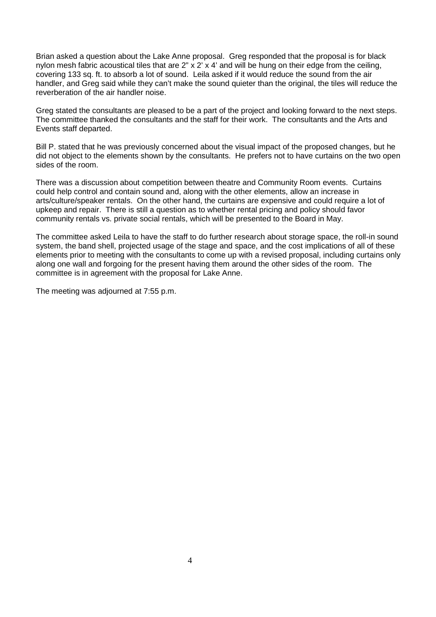Brian asked a question about the Lake Anne proposal. Greg responded that the proposal is for black nylon mesh fabric acoustical tiles that are 2" x 2' x 4' and will be hung on their edge from the ceiling, covering 133 sq. ft. to absorb a lot of sound. Leila asked if it would reduce the sound from the air handler, and Greg said while they can't make the sound quieter than the original, the tiles will reduce the reverberation of the air handler noise.

Greg stated the consultants are pleased to be a part of the project and looking forward to the next steps. The committee thanked the consultants and the staff for their work. The consultants and the Arts and Events staff departed.

Bill P. stated that he was previously concerned about the visual impact of the proposed changes, but he did not object to the elements shown by the consultants. He prefers not to have curtains on the two open sides of the room.

There was a discussion about competition between theatre and Community Room events. Curtains could help control and contain sound and, along with the other elements, allow an increase in arts/culture/speaker rentals. On the other hand, the curtains are expensive and could require a lot of upkeep and repair. There is still a question as to whether rental pricing and policy should favor community rentals vs. private social rentals, which will be presented to the Board in May.

The committee asked Leila to have the staff to do further research about storage space, the roll-in sound system, the band shell, projected usage of the stage and space, and the cost implications of all of these elements prior to meeting with the consultants to come up with a revised proposal, including curtains only along one wall and forgoing for the present having them around the other sides of the room. The committee is in agreement with the proposal for Lake Anne.

The meeting was adjourned at 7:55 p.m.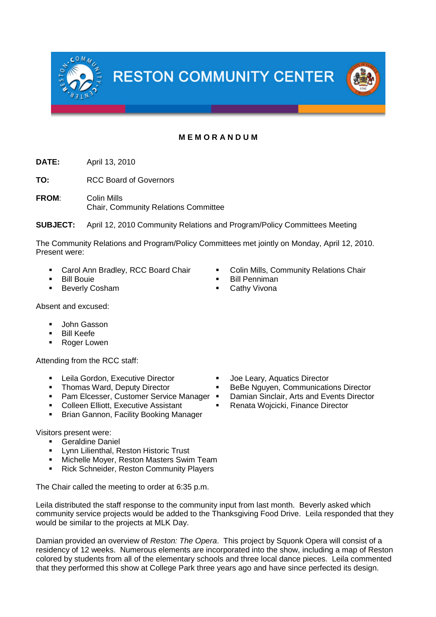**RESTON COMMUNITY CENTER** 

## **M E M O R A N D U M**

**DATE:** April 13, 2010

**TO:** RCC Board of Governors

**FROM**: Colin Mills Chair, Community Relations Committee

**SUBJECT:** April 12, 2010 Community Relations and Program/Policy Committees Meeting

The Community Relations and Program/Policy Committees met jointly on Monday, April 12, 2010. Present were:

- Carol Ann Bradley, RCC Board Chair Colin Mills, Community Relations Chair
- Bill Bouie Bill Penniman
- **Beverly Cosham**  Cathy Vivona
- Absent and excused:
	- John Gasson
	- Bill Keefe
	- **Roger Lowen**

Attending from the RCC staff:

- Leila Gordon, Executive Director **Conservant Conservent** Joe Leary, Aquatics Director
- 
- **Pam Elcesser, Customer Service Manager Damian Sinclair, Arts and Events Director**
- Colleen Elliott, Executive Assistant Renata Wojcicki, Finance Director
- **Brian Gannon, Facility Booking Manager**

Visitors present were:

- Geraldine Daniel
- Lynn Lilienthal, Reston Historic Trust
- **Michelle Moyer, Reston Masters Swim Team**
- **Rick Schneider, Reston Community Players**

The Chair called the meeting to order at 6:35 p.m.

Leila distributed the staff response to the community input from last month. Beverly asked which community service projects would be added to the Thanksgiving Food Drive. Leila responded that they would be similar to the projects at MLK Day.

Damian provided an overview of *Reston: The Opera*. This project by Squonk Opera will consist of a residency of 12 weeks. Numerous elements are incorporated into the show, including a map of Reston colored by students from all of the elementary schools and three local dance pieces. Leila commented that they performed this show at College Park three years ago and have since perfected its design.

- 
- Thomas Ward, Deputy Director **•** BeBe Nguyen, Communications Director
	-
	-

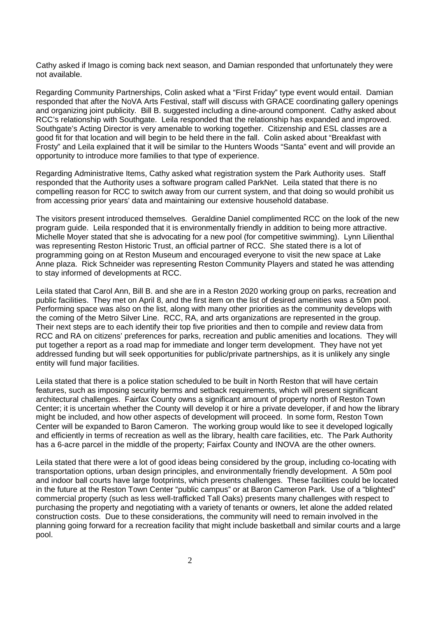Cathy asked if Imago is coming back next season, and Damian responded that unfortunately they were not available.

Regarding Community Partnerships, Colin asked what a "First Friday" type event would entail. Damian responded that after the NoVA Arts Festival, staff will discuss with GRACE coordinating gallery openings and organizing joint publicity. Bill B. suggested including a dine-around component. Cathy asked about RCC's relationship with Southgate. Leila responded that the relationship has expanded and improved. Southgate's Acting Director is very amenable to working together. Citizenship and ESL classes are a good fit for that location and will begin to be held there in the fall. Colin asked about "Breakfast with Frosty" and Leila explained that it will be similar to the Hunters Woods "Santa" event and will provide an opportunity to introduce more families to that type of experience.

Regarding Administrative Items, Cathy asked what registration system the Park Authority uses. Staff responded that the Authority uses a software program called ParkNet. Leila stated that there is no compelling reason for RCC to switch away from our current system, and that doing so would prohibit us from accessing prior years' data and maintaining our extensive household database.

The visitors present introduced themselves. Geraldine Daniel complimented RCC on the look of the new program guide. Leila responded that it is environmentally friendly in addition to being more attractive. Michelle Moyer stated that she is advocating for a new pool (for competitive swimming). Lynn Lilienthal was representing Reston Historic Trust, an official partner of RCC. She stated there is a lot of programming going on at Reston Museum and encouraged everyone to visit the new space at Lake Anne plaza. Rick Schneider was representing Reston Community Players and stated he was attending to stay informed of developments at RCC.

Leila stated that Carol Ann, Bill B. and she are in a Reston 2020 working group on parks, recreation and public facilities. They met on April 8, and the first item on the list of desired amenities was a 50m pool. Performing space was also on the list, along with many other priorities as the community develops with the coming of the Metro Silver Line. RCC, RA, and arts organizations are represented in the group. Their next steps are to each identify their top five priorities and then to compile and review data from RCC and RA on citizens' preferences for parks, recreation and public amenities and locations. They will put together a report as a road map for immediate and longer term development. They have not yet addressed funding but will seek opportunities for public/private partnerships, as it is unlikely any single entity will fund major facilities.

Leila stated that there is a police station scheduled to be built in North Reston that will have certain features, such as imposing security berms and setback requirements, which will present significant architectural challenges. Fairfax County owns a significant amount of property north of Reston Town Center; it is uncertain whether the County will develop it or hire a private developer, if and how the library might be included, and how other aspects of development will proceed. In some form, Reston Town Center will be expanded to Baron Cameron. The working group would like to see it developed logically and efficiently in terms of recreation as well as the library, health care facilities, etc. The Park Authority has a 6-acre parcel in the middle of the property; Fairfax County and INOVA are the other owners.

Leila stated that there were a lot of good ideas being considered by the group, including co-locating with transportation options, urban design principles, and environmentally friendly development. A 50m pool and indoor ball courts have large footprints, which presents challenges. These facilities could be located in the future at the Reston Town Center "public campus" or at Baron Cameron Park. Use of a "blighted" commercial property (such as less well-trafficked Tall Oaks) presents many challenges with respect to purchasing the property and negotiating with a variety of tenants or owners, let alone the added related construction costs. Due to these considerations, the community will need to remain involved in the planning going forward for a recreation facility that might include basketball and similar courts and a large pool.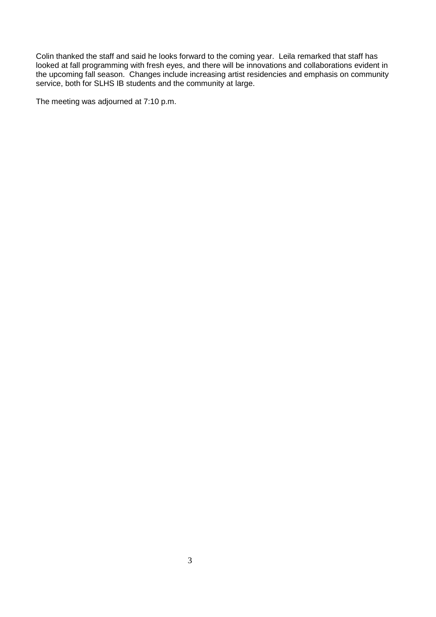Colin thanked the staff and said he looks forward to the coming year. Leila remarked that staff has looked at fall programming with fresh eyes, and there will be innovations and collaborations evident in the upcoming fall season. Changes include increasing artist residencies and emphasis on community service, both for SLHS IB students and the community at large.

The meeting was adjourned at 7:10 p.m.